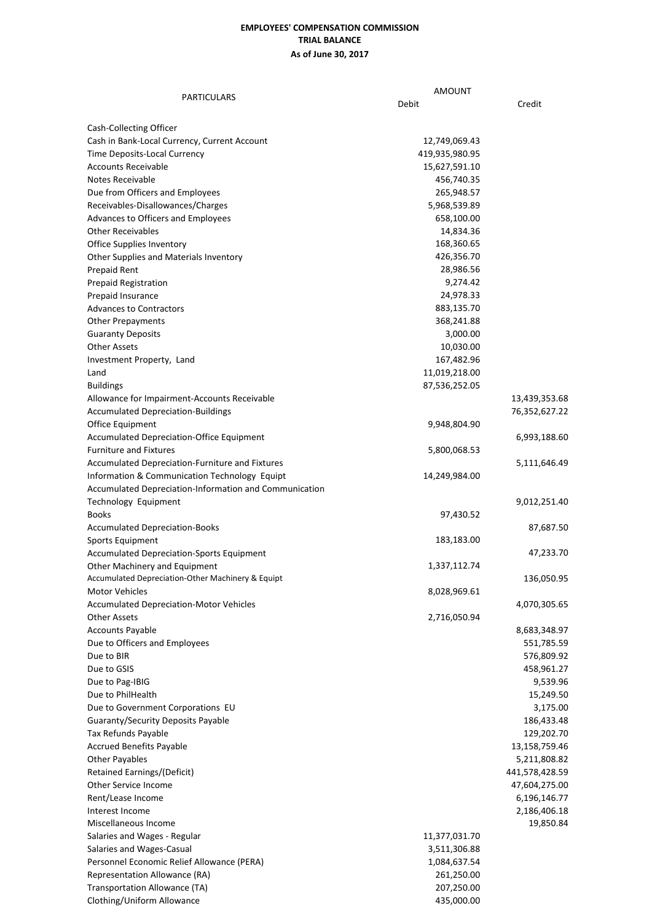## **EMPLOYEES' COMPENSATION COMMISSION TRIAL BALANCE As of June 30, 2017**

| <b>PARTICULARS</b>                                     | <b>AMOUNT</b>  |                          |
|--------------------------------------------------------|----------------|--------------------------|
|                                                        | Debit          | Credit                   |
|                                                        |                |                          |
| Cash-Collecting Officer                                |                |                          |
| Cash in Bank-Local Currency, Current Account           | 12,749,069.43  |                          |
| Time Deposits-Local Currency                           | 419,935,980.95 |                          |
| <b>Accounts Receivable</b>                             | 15,627,591.10  |                          |
| Notes Receivable                                       | 456,740.35     |                          |
| Due from Officers and Employees                        | 265,948.57     |                          |
| Receivables-Disallowances/Charges                      | 5,968,539.89   |                          |
| Advances to Officers and Employees                     | 658,100.00     |                          |
| <b>Other Receivables</b>                               | 14,834.36      |                          |
| Office Supplies Inventory                              | 168,360.65     |                          |
| Other Supplies and Materials Inventory                 | 426,356.70     |                          |
| Prepaid Rent                                           | 28,986.56      |                          |
| <b>Prepaid Registration</b>                            | 9,274.42       |                          |
| Prepaid Insurance                                      | 24,978.33      |                          |
| <b>Advances to Contractors</b>                         | 883,135.70     |                          |
| <b>Other Prepayments</b>                               | 368,241.88     |                          |
| <b>Guaranty Deposits</b>                               | 3,000.00       |                          |
| <b>Other Assets</b>                                    | 10,030.00      |                          |
| Investment Property, Land                              | 167,482.96     |                          |
| Land                                                   | 11,019,218.00  |                          |
| <b>Buildings</b>                                       | 87,536,252.05  |                          |
| Allowance for Impairment-Accounts Receivable           |                | 13,439,353.68            |
| <b>Accumulated Depreciation-Buildings</b>              |                | 76,352,627.22            |
| Office Equipment                                       | 9,948,804.90   |                          |
| Accumulated Depreciation-Office Equipment              |                | 6,993,188.60             |
| <b>Furniture and Fixtures</b>                          | 5,800,068.53   |                          |
| Accumulated Depreciation-Furniture and Fixtures        |                | 5,111,646.49             |
| Information & Communication Technology Equipt          | 14,249,984.00  |                          |
| Accumulated Depreciation-Information and Communication |                |                          |
| Technology Equipment                                   |                | 9,012,251.40             |
| <b>Books</b>                                           | 97,430.52      |                          |
| <b>Accumulated Depreciation-Books</b>                  |                | 87,687.50                |
| Sports Equipment                                       | 183,183.00     |                          |
| Accumulated Depreciation-Sports Equipment              |                | 47,233.70                |
| Other Machinery and Equipment                          | 1,337,112.74   |                          |
| Accumulated Depreciation-Other Machinery & Equipt      |                | 136,050.95               |
| <b>Motor Vehicles</b>                                  | 8,028,969.61   |                          |
| <b>Accumulated Depreciation-Motor Vehicles</b>         |                | 4,070,305.65             |
| <b>Other Assets</b>                                    | 2,716,050.94   |                          |
| <b>Accounts Payable</b>                                |                | 8,683,348.97             |
|                                                        |                |                          |
| Due to Officers and Employees<br>Due to BIR            |                | 551,785.59               |
| Due to GSIS                                            |                | 576,809.92<br>458,961.27 |
|                                                        |                |                          |
| Due to Pag-IBIG                                        |                | 9,539.96                 |
| Due to PhilHealth                                      |                | 15,249.50                |
| Due to Government Corporations EU                      |                | 3,175.00                 |
| <b>Guaranty/Security Deposits Payable</b>              |                | 186,433.48               |
| Tax Refunds Payable                                    |                | 129,202.70               |
| <b>Accrued Benefits Payable</b>                        |                | 13,158,759.46            |
| <b>Other Payables</b>                                  |                | 5,211,808.82             |
| Retained Earnings/(Deficit)                            |                | 441,578,428.59           |
| Other Service Income                                   |                | 47,604,275.00            |
| Rent/Lease Income                                      |                | 6,196,146.77             |
| Interest Income                                        |                | 2,186,406.18             |
| Miscellaneous Income                                   |                | 19,850.84                |
| Salaries and Wages - Regular                           | 11,377,031.70  |                          |
| Salaries and Wages-Casual                              | 3,511,306.88   |                          |
| Personnel Economic Relief Allowance (PERA)             | 1,084,637.54   |                          |
| Representation Allowance (RA)                          | 261,250.00     |                          |
| Transportation Allowance (TA)                          | 207,250.00     |                          |
| Clothing/Uniform Allowance                             | 435,000.00     |                          |